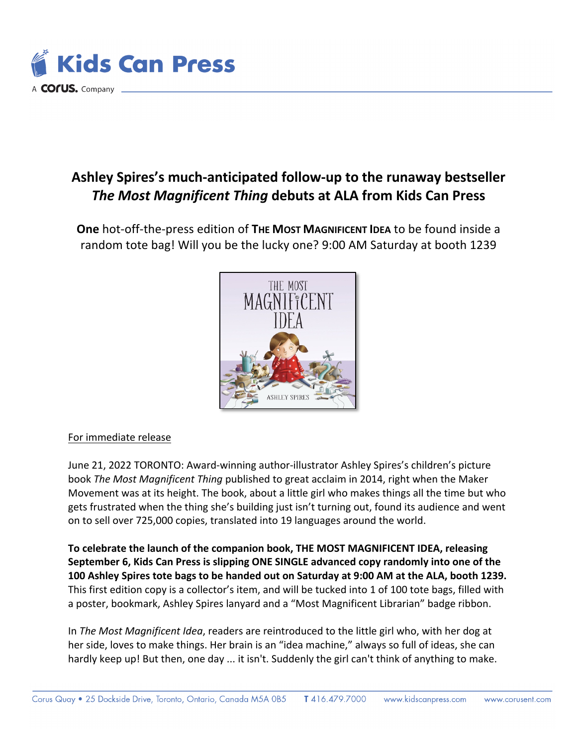

## **Ashley Spires's much-anticipated follow-up to the runaway bestseller**  *The Most Magnificent Thing* **debuts at ALA from Kids Can Press**

**One** hot-off-the-press edition of **THE MOST MAGNIFICENT IDEA** to be found inside a random tote bag! Will you be the lucky one? 9:00 AM Saturday at booth 1239



## For immediate release

June 21, 2022 TORONTO: Award-winning author-illustrator Ashley Spires's children's picture book *The Most Magnificent Thing* published to great acclaim in 2014, right when the Maker Movement was at its height. The book, about a little girl who makes things all the time but who gets frustrated when the thing she's building just isn't turning out, found its audience and went on to sell over 725,000 copies, translated into 19 languages around the world.

**To celebrate the launch of the companion book, THE MOST MAGNIFICENT IDEA, releasing September 6, Kids Can Press is slipping ONE SINGLE advanced copy randomly into one of the 100 Ashley Spires tote bags to be handed out on Saturday at 9:00 AM at the ALA, booth 1239.**  This first edition copy is a collector's item, and will be tucked into 1 of 100 tote bags, filled with a poster, bookmark, Ashley Spires lanyard and a "Most Magnificent Librarian" badge ribbon.

In *The Most Magnificent Idea*, readers are reintroduced to the little girl who, with her dog at her side, loves to make things. Her brain is an "idea machine," always so full of ideas, she can hardly keep up! But then, one day ... it isn't. Suddenly the girl can't think of anything to make.